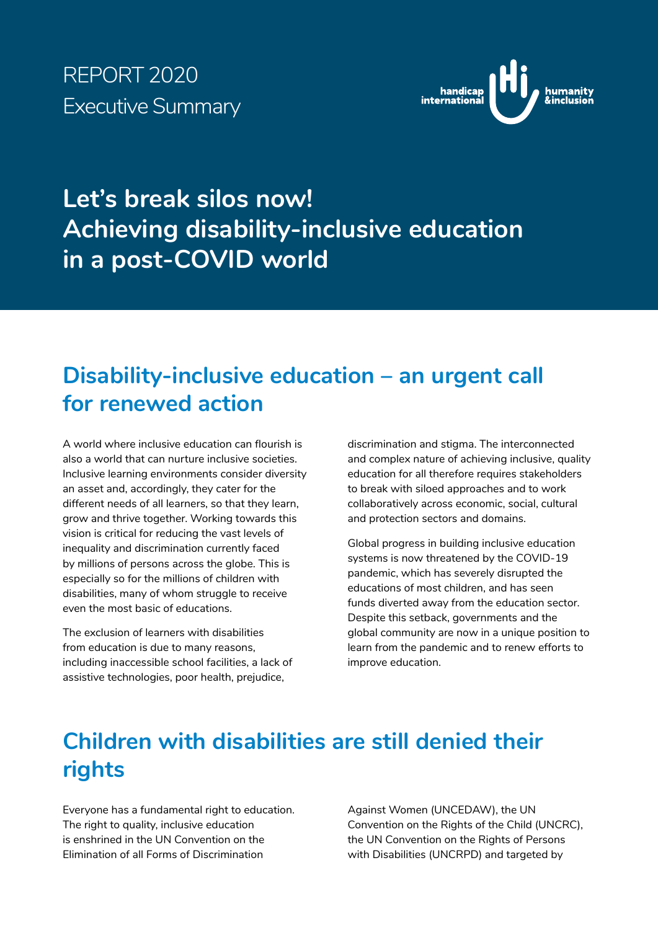# REPORT 2020 Executive Summary



# **Let's break silos now! Achieving disability-inclusive education in a post-COVID world**

# **Disability-inclusive education – an urgent call for renewed action**

A world where inclusive education can flourish is also a world that can nurture inclusive societies. Inclusive learning environments consider diversity an asset and, accordingly, they cater for the different needs of all learners, so that they learn, grow and thrive together. Working towards this vision is critical for reducing the vast levels of inequality and discrimination currently faced by millions of persons across the globe. This is especially so for the millions of children with disabilities, many of whom struggle to receive even the most basic of educations.

The exclusion of learners with disabilities from education is due to many reasons, including inaccessible school facilities, a lack of assistive technologies, poor health, prejudice,

discrimination and stigma. The interconnected and complex nature of achieving inclusive, quality education for all therefore requires stakeholders to break with siloed approaches and to work collaboratively across economic, social, cultural and protection sectors and domains.

Global progress in building inclusive education systems is now threatened by the COVID-19 pandemic, which has severely disrupted the educations of most children, and has seen funds diverted away from the education sector. Despite this setback, governments and the global community are now in a unique position to learn from the pandemic and to renew efforts to improve education.

# **Children with disabilities are still denied their rights**

Everyone has a fundamental right to education. The right to quality, inclusive education is enshrined in the UN Convention on the Elimination of all Forms of Discrimination

Against Women (UNCEDAW), the UN Convention on the Rights of the Child (UNCRC), the UN Convention on the Rights of Persons with Disabilities (UNCRPD) and targeted by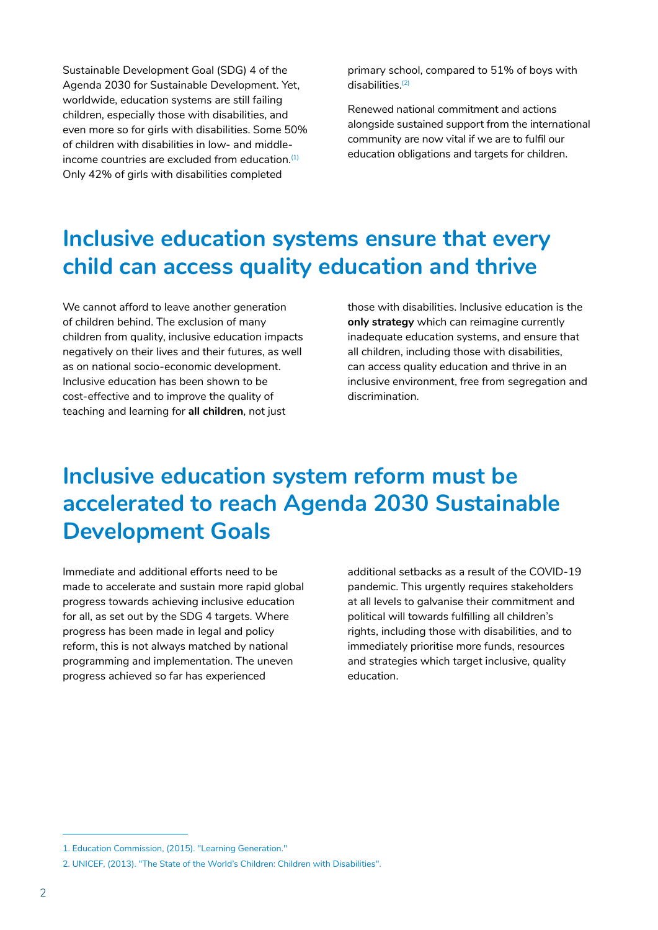Sustainable Development Goal (SDG) 4 of the Agenda 2030 for Sustainable Development. Yet, worldwide, education systems are still failing children, especially those with disabilities, and even more so for girls with disabilities. Some 50% of children with disabilities in low- and middleincome countries are excluded from education.<sup>(1)</sup> Only 42% of girls with disabilities completed

primary school, compared to 51% of boys with  $disabilities<sup>(2)</sup>$ 

Renewed national commitment and actions alongside sustained support from the international community are now vital if we are to fulfil our education obligations and targets for children.

## **Inclusive education systems ensure that every child can access quality education and thrive**

We cannot afford to leave another generation of children behind. The exclusion of many children from quality, inclusive education impacts negatively on their lives and their futures, as well as on national socio-economic development. Inclusive education has been shown to be cost-effective and to improve the quality of teaching and learning for **all children**, not just

those with disabilities. Inclusive education is the **only strategy** which can reimagine currently inadequate education systems, and ensure that all children, including those with disabilities, can access quality education and thrive in an inclusive environment, free from segregation and discrimination.

# **Inclusive education system reform must be accelerated to reach Agenda 2030 Sustainable Development Goals**

Immediate and additional efforts need to be made to accelerate and sustain more rapid global progress towards achieving inclusive education for all, as set out by the SDG 4 targets. Where progress has been made in legal and policy reform, this is not always matched by national programming and implementation. The uneven progress achieved so far has experienced

additional setbacks as a result of the COVID-19 pandemic. This urgently requires stakeholders at all levels to galvanise their commitment and political will towards fulfilling all children's rights, including those with disabilities, and to immediately prioritise more funds, resources and strategies which target inclusive, quality education.

<sup>1.</sup> Education Commission, (2015). "Learning Generation."

<sup>2.</sup> UNICEF, (2013). "The State of the World's Children: Children with Disabilities".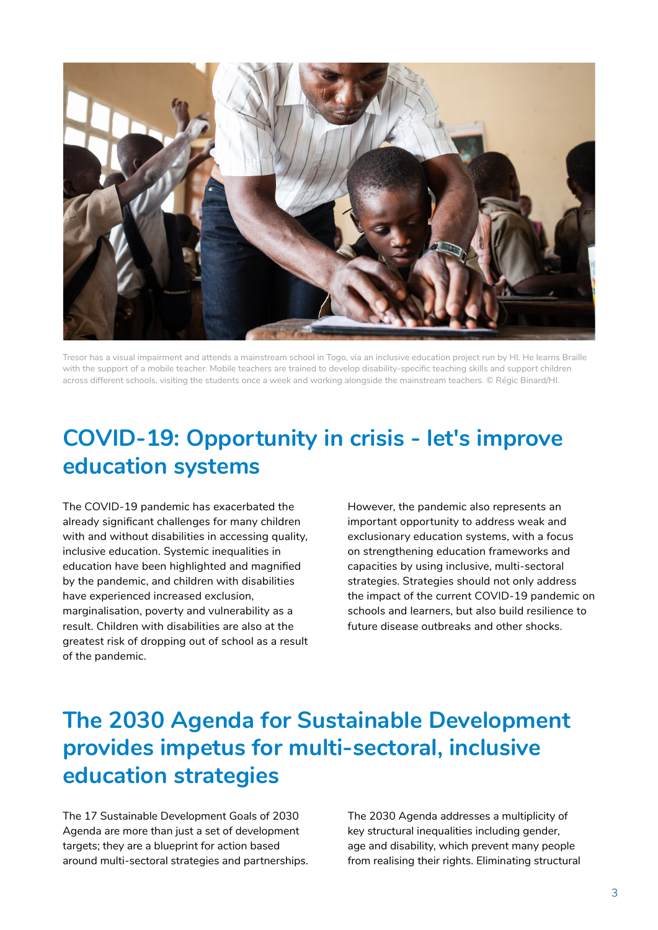

Tresor has a visual impairment and attends a mainstream school in Togo, via an inclusive education project run by HI. He learns Braille with the support of a mobile teacher. Mobile teachers are trained to develop disability-specific teaching skills and support children across different schools, visiting the students once a week and working alongside the mainstream teachers. © Régic Binard/HI.

## **COVID-19: Opportunity in crisis - let's improve education systems**

The COVID-19 pandemic has exacerbated the already significant challenges for many children with and without disabilities in accessing quality, inclusive education. Systemic inequalities in education have been highlighted and magnified by the pandemic, and children with disabilities have experienced increased exclusion, marginalisation, poverty and vulnerability as a result. Children with disabilities are also at the greatest risk of dropping out of school as a result of the pandemic.

However, the pandemic also represents an important opportunity to address weak and exclusionary education systems, with a focus on strengthening education frameworks and capacities by using inclusive, multi-sectoral strategies. Strategies should not only address the impact of the current COVID-19 pandemic on schools and learners, but also build resilience to future disease outbreaks and other shocks.

# **The 2030 Agenda for Sustainable Development provides impetus for multi-sectoral, inclusive education strategies**

The 17 Sustainable Development Goals of 2030 Agenda are more than just a set of development targets; they are a blueprint for action based around multi-sectoral strategies and partnerships. The 2030 Agenda addresses a multiplicity of key structural inequalities including gender, age and disability, which prevent many people from realising their rights. Eliminating structural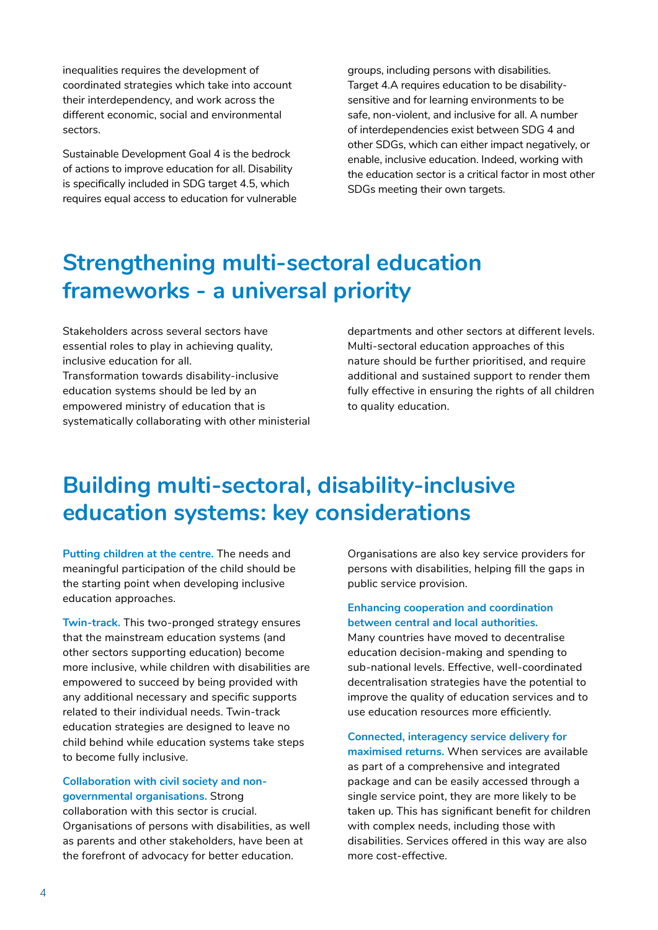inequalities requires the development of coordinated strategies which take into account their interdependency, and work across the different economic, social and environmental sectors.

Sustainable Development Goal 4 is the bedrock of actions to improve education for all. Disability is specifically included in SDG target 4.5, which requires equal access to education for vulnerable groups, including persons with disabilities. Target 4.A requires education to be disabilitysensitive and for learning environments to be safe, non-violent, and inclusive for all. A number of interdependencies exist between SDG 4 and other SDGs, which can either impact negatively, or enable, inclusive education. Indeed, working with the education sector is a critical factor in most other SDGs meeting their own targets.

## **Strengthening multi-sectoral education frameworks - a universal priority**

Stakeholders across several sectors have essential roles to play in achieving quality, inclusive education for all. Transformation towards disability-inclusive education systems should be led by an empowered ministry of education that is systematically collaborating with other ministerial departments and other sectors at different levels. Multi-sectoral education approaches of this nature should be further prioritised, and require additional and sustained support to render them fully effective in ensuring the rights of all children to quality education.

## **Building multi-sectoral, disability-inclusive education systems: key considerations**

**Putting children at the centre.** The needs and meaningful participation of the child should be the starting point when developing inclusive education approaches.

**Twin-track.** This two-pronged strategy ensures that the mainstream education systems (and other sectors supporting education) become more inclusive, while children with disabilities are empowered to succeed by being provided with any additional necessary and specific supports related to their individual needs. Twin-track education strategies are designed to leave no child behind while education systems take steps to become fully inclusive.

#### **Collaboration with civil society and nongovernmental organisations.** Strong

collaboration with this sector is crucial. Organisations of persons with disabilities, as well as parents and other stakeholders, have been at the forefront of advocacy for better education.

Organisations are also key service providers for persons with disabilities, helping fill the gaps in public service provision.

#### **Enhancing cooperation and coordination between central and local authorities.**

Many countries have moved to decentralise education decision-making and spending to sub-national levels. Effective, well-coordinated decentralisation strategies have the potential to improve the quality of education services and to use education resources more efficiently.

#### **Connected, interagency service delivery for**

**maximised returns.** When services are available as part of a comprehensive and integrated package and can be easily accessed through a single service point, they are more likely to be taken up. This has significant benefit for children with complex needs, including those with disabilities. Services offered in this way are also more cost-effective.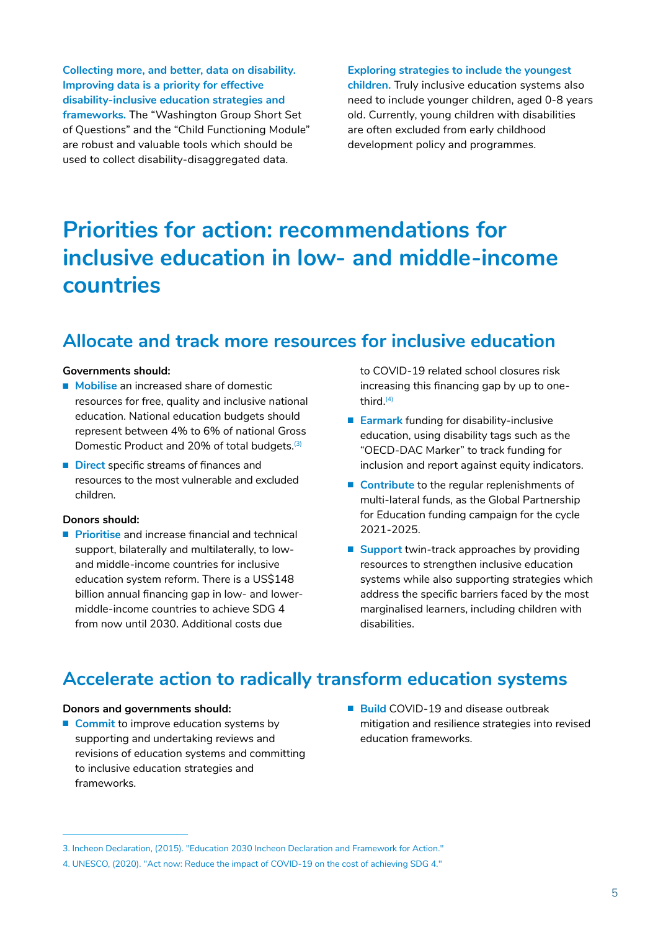**Collecting more, and better, data on disability. Improving data is a priority for effective disability-inclusive education strategies and frameworks.** The "Washington Group Short Set of Questions" and the "Child Functioning Module" are robust and valuable tools which should be used to collect disability-disaggregated data.

**Exploring strategies to include the youngest** 

**children.** Truly inclusive education systems also need to include younger children, aged 0-8 years old. Currently, young children with disabilities are often excluded from early childhood development policy and programmes.

# **Priorities for action: recommendations for inclusive education in low- and middle-income countries**

### **Allocate and track more resources for inclusive education**

#### **Governments should:**

- **Mobilise** an increased share of domestic resources for free, quality and inclusive national education. National education budgets should represent between 4% to 6% of national Gross Domestic Product and 20% of total budgets.<sup>(3)</sup>
- **Direct** specific streams of finances and resources to the most vulnerable and excluded children.

#### **Donors should:**

■ **Prioritise** and increase financial and technical support, bilaterally and multilaterally, to lowand middle-income countries for inclusive education system reform. There is a US\$148 billion annual financing gap in low- and lowermiddle-income countries to achieve SDG 4 from now until 2030. Additional costs due

to COVID-19 related school closures risk increasing this financing gap by up to onethird. $(4)$ 

- **Earmark** funding for disability-inclusive education, using disability tags such as the "OECD-DAC Marker" to track funding for inclusion and report against equity indicators.
- **Contribute** to the regular replenishments of multi-lateral funds, as the Global Partnership for Education funding campaign for the cycle 2021-2025.
- **Support** twin-track approaches by providing resources to strengthen inclusive education systems while also supporting strategies which address the specific barriers faced by the most marginalised learners, including children with disabilities.

### **Accelerate action to radically transform education systems**

#### **Donors and governments should:**

- **Commit** to improve education systems by supporting and undertaking reviews and revisions of education systems and committing to inclusive education strategies and frameworks.
- **Build** COVID-19 and disease outbreak mitigation and resilience strategies into revised education frameworks.

<sup>3.</sup> Incheon Declaration, (2015). "Education 2030 Incheon Declaration and Framework for Action." 4. UNESCO, (2020). "Act now: Reduce the impact of COVID-19 on the cost of achieving SDG 4."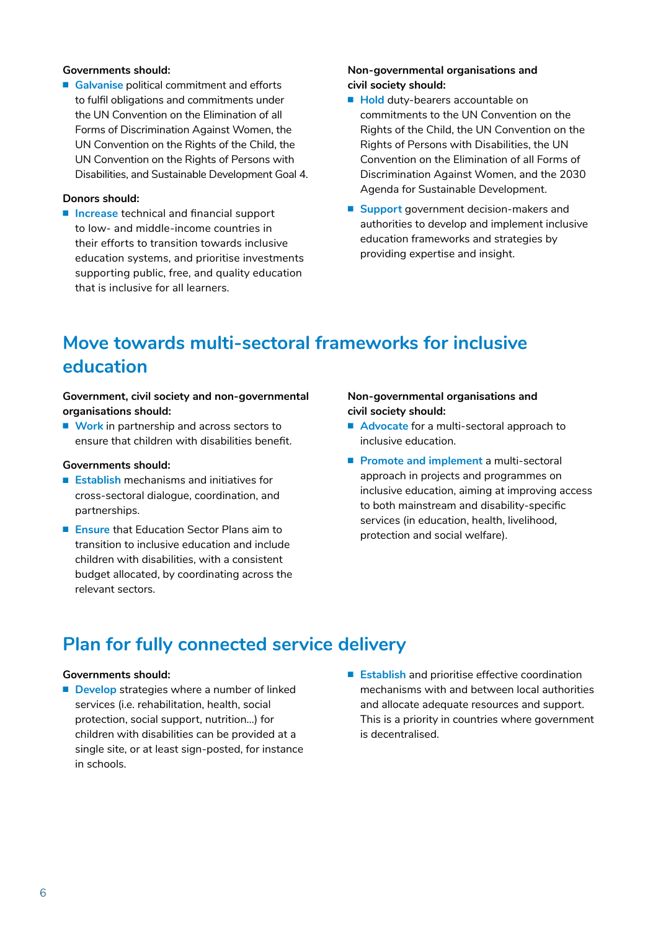#### **Governments should:**

■ **Galvanise** political commitment and efforts to fulfil obligations and commitments under the UN Convention on the Elimination of all Forms of Discrimination Against Women, the UN Convention on the Rights of the Child, the UN Convention on the Rights of Persons with Disabilities, and Sustainable Development Goal 4.

#### **Donors should:**

■ **Increase** technical and financial support to low- and middle-income countries in their efforts to transition towards inclusive education systems, and prioritise investments supporting public, free, and quality education that is inclusive for all learners.

#### **Non-governmental organisations and civil society should:**

- **Hold** duty-bearers accountable on commitments to the UN Convention on the Rights of the Child, the UN Convention on the Rights of Persons with Disabilities, the UN Convention on the Elimination of all Forms of Discrimination Against Women, and the 2030 Agenda for Sustainable Development.
- **Support** government decision-makers and authorities to develop and implement inclusive education frameworks and strategies by providing expertise and insight.

## **Move towards multi-sectoral frameworks for inclusive education**

#### **Government, civil society and non-governmental organisations should:**

■ **Work** in partnership and across sectors to ensure that children with disabilities benefit.

#### **Governments should:**

- **Establish** mechanisms and initiatives for cross-sectoral dialogue, coordination, and partnerships.
- **Ensure** that **Fducation** Sector Plans aim to transition to inclusive education and include children with disabilities, with a consistent budget allocated, by coordinating across the relevant sectors.

#### **Non-governmental organisations and civil society should:**

- **Advocate** for a multi-sectoral approach to inclusive education.
- **Promote and implement** a multi-sectoral approach in projects and programmes on inclusive education, aiming at improving access to both mainstream and disability-specific services (in education, health, livelihood, protection and social welfare).

### **Plan for fully connected service delivery**

#### **Governments should:**

- **Develop** strategies where a number of linked services (i.e. rehabilitation, health, social protection, social support, nutrition…) for children with disabilities can be provided at a single site, or at least sign-posted, for instance in schools.
- **Establish** and prioritise effective coordination mechanisms with and between local authorities and allocate adequate resources and support. This is a priority in countries where government is decentralised.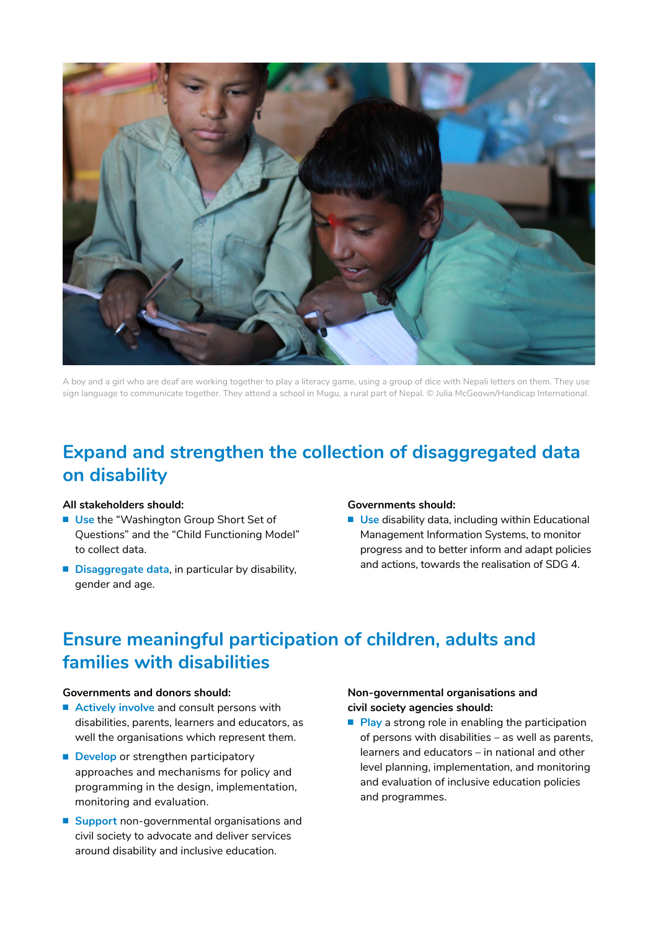

A boy and a girl who are deaf are working together to play a literacy game, using a group of dice with Nepali letters on them. They use sign language to communicate together. They attend a school in Mugu, a rural part of Nepal. © Julia McGeown/Handicap International.

### **Expand and strengthen the collection of disaggregated data on disability**

#### **All stakeholders should:**

- **Use** the "Washington Group Short Set of Questions" and the "Child Functioning Model" to collect data.
- **Disaggregate data**, in particular by disability, gender and age.

#### **Governments should:**

■ **Use** disability data, including within Educational Management Information Systems, to monitor progress and to better inform and adapt policies and actions, towards the realisation of SDG 4.

### **Ensure meaningful participation of children, adults and families with disabilities**

#### **Governments and donors should:**

- **Actively involve** and consult persons with disabilities, parents, learners and educators, as well the organisations which represent them.
- **Develop** or strengthen participatory approaches and mechanisms for policy and programming in the design, implementation, monitoring and evaluation.
- **Support** non-governmental organisations and civil society to advocate and deliver services around disability and inclusive education.

#### **Non-governmental organisations and civil society agencies should:**

■ **Play** a strong role in enabling the participation of persons with disabilities – as well as parents, learners and educators – in national and other level planning, implementation, and monitoring and evaluation of inclusive education policies and programmes.